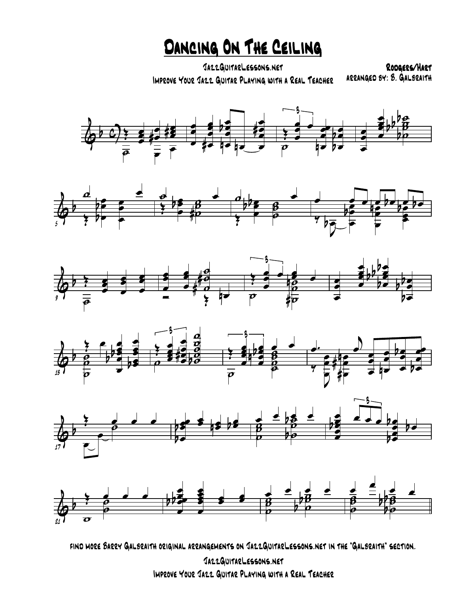DANCING ON THE CEILING

JazzGuitarLessons.net Improve Your Jazz Guitar Playing with a Real Teacher arranged by: B. Galbraith

Rodgers/Hart













find more Barry Galbraith original arrangements on JazzGuitarLessons.net in the "Galbraith" section.

JazzGuitarLessons.net Improve Your Jazz Guitar Playing with a Real Teacher